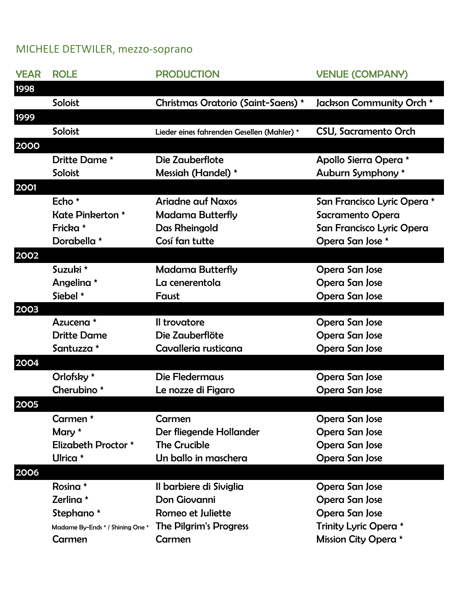## MICHELE DETWILER, mezzo-soprano

| <b>YEAR</b> | <b>ROLE</b>                      | <b>PRODUCTION</b>                          | <b>VENUE (COMPANY)</b>      |
|-------------|----------------------------------|--------------------------------------------|-----------------------------|
| 1998        |                                  |                                            |                             |
|             | Soloist                          | Christmas Oratorio (Saint-Saens) *         | Jackson Community Orch *    |
| 1999        |                                  |                                            |                             |
|             | Soloist                          | Lieder eines fahrenden Gesellen (Mahler) * | <b>CSU, Sacramento Orch</b> |
| 2000        |                                  |                                            |                             |
|             | Dritte Dame *                    | Die Zauberflote                            | Apollo Sierra Opera *       |
|             | Soloist                          | Messiah (Handel) *                         | Auburn Symphony *           |
| 2001        |                                  |                                            |                             |
|             | Echo $*$                         | <b>Ariadne auf Naxos</b>                   | San Francisco Lyric Opera * |
|             | Kate Pinkerton *                 | <b>Madama Butterfly</b>                    | Sacramento Opera            |
|             | Fricka *                         | Das Rheingold                              | San Francisco Lyric Opera   |
|             | Dorabella *                      | Cosí fan tutte                             | Opera San Jose *            |
| 2002        |                                  |                                            |                             |
|             | Suzuki *                         | <b>Madama Butterfly</b>                    | Opera San Jose              |
|             | Angelina *                       | La cenerentola                             | Opera San Jose              |
|             | Siebel *                         | Faust                                      | Opera San Jose              |
| 2003        |                                  |                                            |                             |
|             | Azucena *                        | Il trovatore                               | Opera San Jose              |
|             | <b>Dritte Dame</b>               | Die Zauberflöte                            | Opera San Jose              |
|             | Santuzza *                       | Cavalleria rusticana                       | Opera San Jose              |
| 2004        |                                  |                                            |                             |
|             | Orlofsky *                       | <b>Die Fledermaus</b>                      | Opera San Jose              |
|             | Cherubino <sup>*</sup>           | Le nozze di Figaro                         | Opera San Jose              |
| 2005        |                                  |                                            |                             |
|             | Carmen *                         | Carmen                                     | Opera San Jose              |
|             | Mary *                           | Der fliegende Hollander                    | Opera San Jose              |
|             | Elizabeth Proctor *              | <b>The Crucible</b>                        | Opera San Jose              |
|             | Ulrica $*$                       | Un ballo in maschera                       | Opera San Jose              |
| 2006        |                                  |                                            |                             |
|             | Rosina *                         | Il barbiere di Siviglia                    | Opera San Jose              |
|             | Zerlina *                        | Don Giovanni                               | Opera San Jose              |
|             | Stephano *                       | Romeo et Juliette                          | Opera San Jose              |
|             | Madame By-Ends * / Shining One * | The Pilgrim's Progress                     | Trinity Lyric Opera *       |
|             | Carmen                           | Carmen                                     | Mission City Opera *        |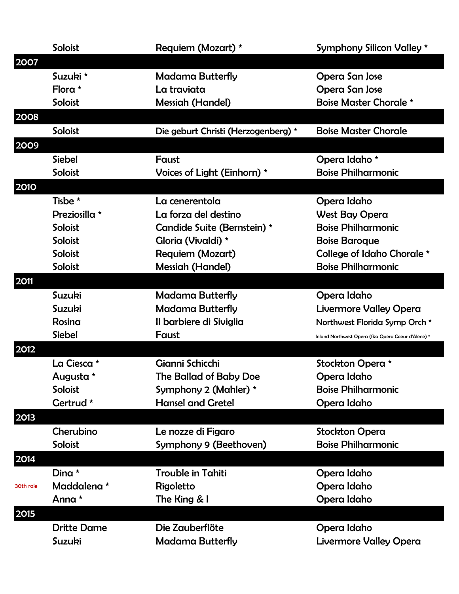|           | Soloist            | Requiem (Mozart) *                  | <b>Symphony Silicon Valley *</b>                   |
|-----------|--------------------|-------------------------------------|----------------------------------------------------|
| 2007      |                    |                                     |                                                    |
|           | Suzuki *           | <b>Madama Butterfly</b>             | Opera San Jose                                     |
|           | Flora $*$          | La traviata                         | Opera San Jose                                     |
|           | Soloist            | <b>Messiah (Handel)</b>             | <b>Boise Master Chorale *</b>                      |
| 2008      |                    |                                     |                                                    |
|           | Soloist            | Die geburt Christi (Herzogenberg) * | <b>Boise Master Chorale</b>                        |
| 2009      |                    |                                     |                                                    |
|           | <b>Siebel</b>      | Faust                               | Opera Idaho *                                      |
|           | Soloist            | Voices of Light (Einhorn) *         | <b>Boise Philharmonic</b>                          |
| 2010      |                    |                                     |                                                    |
|           | Tisbe *            | La cenerentola                      | Opera Idaho                                        |
|           | Preziosilla *      | La forza del destino                | <b>West Bay Opera</b>                              |
|           | Soloist            | Candide Suite (Bernstein) *         | <b>Boise Philharmonic</b>                          |
|           | Soloist            | Gloria (Vivaldi) *                  | <b>Boise Baroque</b>                               |
|           | Soloist            | <b>Requiem (Mozart)</b>             | College of Idaho Chorale *                         |
|           | Soloist            | <b>Messiah (Handel)</b>             | <b>Boise Philharmonic</b>                          |
| 2011      |                    |                                     |                                                    |
|           | Suzuki             | Madama Butterfly                    | Opera Idaho                                        |
|           | <b>Suzuki</b>      | Madama Butterfly                    | <b>Livermore Valley Opera</b>                      |
|           | Rosina             | Il barbiere di Siviglia             | Northwest Florida Symp Orch *                      |
|           | <b>Siebel</b>      | Faust                               | Inland Northwest Opera (fka Opera Coeur d'Alene) * |
| 2012      |                    |                                     |                                                    |
|           | La Ciesca *        | Gianni Schicchi                     | Stockton Opera *                                   |
|           | Augusta *          | The Ballad of Baby Doe              | Opera Idaho                                        |
|           | Soloist            | Symphony 2 (Mahler) *               | <b>Boise Philharmonic</b>                          |
|           | Gertrud *          | <b>Hansel and Gretel</b>            | Opera Idaho                                        |
| 2013      |                    |                                     |                                                    |
|           | Cherubino          | Le nozze di Figaro                  | <b>Stockton Opera</b>                              |
|           | Soloist            | Symphony 9 (Beethoven)              | <b>Boise Philharmonic</b>                          |
| 2014      |                    |                                     |                                                    |
|           | Dina $*$           | <b>Trouble in Tahiti</b>            | Opera Idaho                                        |
| 30th role | Maddalena *        | Rigoletto                           | Opera Idaho                                        |
|           | Anna *             | The King & I                        | Opera Idaho                                        |
| 2015      |                    |                                     |                                                    |
|           | <b>Dritte Dame</b> | Die Zauberflöte                     | Opera Idaho                                        |
|           | Suzuki             | <b>Madama Butterfly</b>             | <b>Livermore Valley Opera</b>                      |